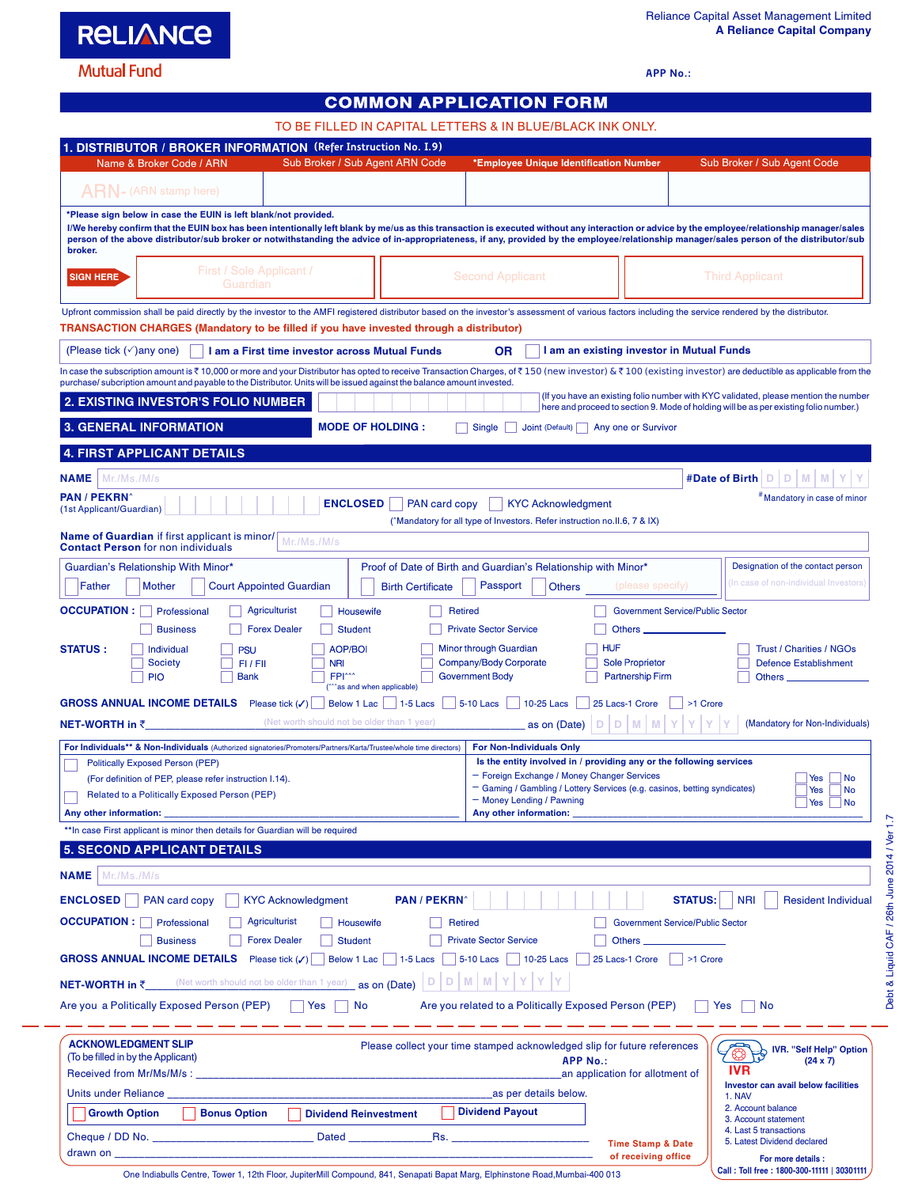## Reliance Capital Asset Management Limited **A Reliance Capital Company**

Debt & Liquid CAF / 26th June 2014 / Ver 1.7

Debt & Liquid CAF / 26th June 2014 / Ver 1.7

## **Mutual Fund**

- -

**RELIANCE** 

**APP No.:**

## **COMMON APPLICATION FORM**

## TO BE FILLED IN CAPITAL LETTERS & IN BLUE/BLACK INK ONLY.

| 1. DISTRIBUTOR / BROKER INFORMATION (Refer Instruction No. I.9)                                                                                                                                                                                                                                                                                                                                                                                                          |                                                         |                                                                                                                                               |                                                                                                                                                                              |
|--------------------------------------------------------------------------------------------------------------------------------------------------------------------------------------------------------------------------------------------------------------------------------------------------------------------------------------------------------------------------------------------------------------------------------------------------------------------------|---------------------------------------------------------|-----------------------------------------------------------------------------------------------------------------------------------------------|------------------------------------------------------------------------------------------------------------------------------------------------------------------------------|
| Name & Broker Code / ARN                                                                                                                                                                                                                                                                                                                                                                                                                                                 | Sub Broker / Sub Agent ARN Code                         | *Employee Unique Identification Number                                                                                                        | Sub Broker / Sub Agent Code                                                                                                                                                  |
| ARN-(ARN stamp here)                                                                                                                                                                                                                                                                                                                                                                                                                                                     |                                                         |                                                                                                                                               |                                                                                                                                                                              |
| *Please sign below in case the EUIN is left blank/not provided.<br>I/We hereby confirm that the EUIN box has been intentionally left blank by me/us as this transaction is executed without any interaction or advice by the employee/relationship manager/sales<br>person of the above distributor/sub broker or notwithstanding the advice of in-appropriateness, if any, provided by the employee/relationship manager/sales person of the distributor/sub<br>broker. |                                                         |                                                                                                                                               |                                                                                                                                                                              |
| First / Sole Applicant /<br><b>SIGN HERE</b><br>Guardian                                                                                                                                                                                                                                                                                                                                                                                                                 |                                                         | <b>Second Applicant</b>                                                                                                                       | <b>Third Applicant</b>                                                                                                                                                       |
| Upfront commission shall be paid directly by the investor to the AMFI registered distributor based on the investor's assessment of various factors including the service rendered by the distributor.<br>TRANSACTION CHARGES (Mandatory to be filled if you have invested through a distributor)                                                                                                                                                                         |                                                         |                                                                                                                                               |                                                                                                                                                                              |
| (Please tick $(\checkmark)$ any one)                                                                                                                                                                                                                                                                                                                                                                                                                                     | I am a First time investor across Mutual Funds          | OR                                                                                                                                            | I am an existing investor in Mutual Funds                                                                                                                                    |
| In case the subscription amount is ₹10,000 or more and your Distributor has opted to receive Transaction Charges, of ₹150 (new investor) & ₹100 (existing investor) are deductible as applicable from the                                                                                                                                                                                                                                                                |                                                         |                                                                                                                                               |                                                                                                                                                                              |
| purchase/ subcription amount and payable to the Distributor. Units will be issued against the balance amount invested.<br><b>2. EXISTING INVESTOR'S FOLIO NUMBER</b>                                                                                                                                                                                                                                                                                                     |                                                         |                                                                                                                                               | (If you have an existing folio number with KYC validated, please mention the number<br>here and proceed to section 9. Mode of holding will be as per existing folio number.) |
| <b>3. GENERAL INFORMATION</b>                                                                                                                                                                                                                                                                                                                                                                                                                                            | <b>MODE OF HOLDING:</b>                                 | Single<br>Joint (Default)     Any one or Survivor                                                                                             |                                                                                                                                                                              |
| <b>4. FIRST APPLICANT DETAILS</b>                                                                                                                                                                                                                                                                                                                                                                                                                                        |                                                         |                                                                                                                                               |                                                                                                                                                                              |
| Mr./Ms./M/s<br><b>NAME</b>                                                                                                                                                                                                                                                                                                                                                                                                                                               |                                                         |                                                                                                                                               | #Date of Birth   D   D   M                                                                                                                                                   |
| <b>PAN / PEKRN^</b><br>(1st Applicant/Guardian)                                                                                                                                                                                                                                                                                                                                                                                                                          | <b>ENCLOSED</b><br>PAN card copy                        | <b>KYC Acknowledgment</b><br>("Mandatory for all type of Investors. Refer instruction no.II.6, 7 & IX)                                        | # Mandatory in case of minor                                                                                                                                                 |
| Name of Guardian if first applicant is minor/<br><b>Contact Person for non individuals</b>                                                                                                                                                                                                                                                                                                                                                                               | Mr./Ms./M/s                                             |                                                                                                                                               |                                                                                                                                                                              |
| Guardian's Relationship With Minor*<br>Father<br><b>Court Appointed Guardian</b><br>Mother                                                                                                                                                                                                                                                                                                                                                                               | <b>Birth Certificate</b>                                | Proof of Date of Birth and Guardian's Relationship with Minor*<br>Passport<br><b>Others</b>                                                   | Designation of the contact person<br>(In case of non-individual Investors)<br>(please specify)                                                                               |
| <b>OCCUPATION:</b><br>Professional<br>Agriculturist                                                                                                                                                                                                                                                                                                                                                                                                                      |                                                         |                                                                                                                                               | <b>Government Service/Public Sector</b>                                                                                                                                      |
| <b>Business</b><br><b>Forex Dealer</b>                                                                                                                                                                                                                                                                                                                                                                                                                                   | Housewife<br><b>Retired</b><br><b>Student</b>           | <b>Private Sector Service</b><br>Others __                                                                                                    |                                                                                                                                                                              |
| <b>STATUS:</b><br>Individual<br><b>PSU</b><br><b>Society</b><br>$FI$ / $Fil$<br><b>Bank</b><br><b>PIO</b>                                                                                                                                                                                                                                                                                                                                                                | <b>AOP/BOI</b><br><b>NRI</b><br>FPI <sup>^^</sup>       | <b>HUF</b><br>Minor through Guardian<br>Company/Body Corporate<br><b>Sole Proprietor</b><br><b>Government Body</b><br><b>Partnership Firm</b> | <b>Trust / Charities / NGOs</b><br><b>Defence Establishment</b><br>Others.                                                                                                   |
| <b>GROSS ANNUAL INCOME DETAILS</b> Please tick (V)                                                                                                                                                                                                                                                                                                                                                                                                                       | (^^^as and when applicable)<br>Below 1 Lac     1-5 Lacs | $5-10$ Lacs<br>10-25 Lacs<br>25 Lacs-1 Crore                                                                                                  | >1 Crore                                                                                                                                                                     |
| NET-WORTH in ₹_                                                                                                                                                                                                                                                                                                                                                                                                                                                          | (Net worth should not be older than 1 year)             | as on (Date) $\boxed{D}$ $\boxed{D}$ $\boxed{M}$ $\boxed{M}$                                                                                  | (Mandatory for Non-Individuals)                                                                                                                                              |
| For Individuals** & Non-Individuals (Authorized signatories/Promoters/Partners/Karta/Trustee/whole time directors)                                                                                                                                                                                                                                                                                                                                                       |                                                         | <b>For Non-Individuals Only</b>                                                                                                               |                                                                                                                                                                              |
| <b>Politically Exposed Person (PEP)</b><br>(For definition of PEP, please refer instruction I.14).                                                                                                                                                                                                                                                                                                                                                                       |                                                         | Is the entity involved in / providing any or the following services<br>- Foreign Exchange / Money Changer Services                            | Yes<br>No                                                                                                                                                                    |
| Related to a Politically Exposed Person (PEP)                                                                                                                                                                                                                                                                                                                                                                                                                            |                                                         | - Gaming / Gambling / Lottery Services (e.g. casinos, betting syndicates)<br>- Money Lending / Pawning                                        | Yes<br>No<br>Yes<br>No                                                                                                                                                       |
| Any other information:                                                                                                                                                                                                                                                                                                                                                                                                                                                   |                                                         | Any other information:                                                                                                                        |                                                                                                                                                                              |
| ** In case First applicant is minor then details for Guardian will be required<br><b>5. SECOND APPLICANT DETAILS</b>                                                                                                                                                                                                                                                                                                                                                     |                                                         |                                                                                                                                               |                                                                                                                                                                              |
| Mr./Ms./M/s<br><b>NAME</b>                                                                                                                                                                                                                                                                                                                                                                                                                                               |                                                         |                                                                                                                                               |                                                                                                                                                                              |
| <b>ENCLOSED</b>   PAN card copy<br><b>KYC Acknowledgment</b>                                                                                                                                                                                                                                                                                                                                                                                                             | <b>PAN / PEKRN</b>                                      |                                                                                                                                               | <b>STATUS:</b><br><b>NRI</b><br><b>Resident Individual</b>                                                                                                                   |
| <b>OCCUPATION:</b> Professional<br><b>Agriculturist</b>                                                                                                                                                                                                                                                                                                                                                                                                                  | Housewife<br>Retired                                    |                                                                                                                                               | <b>Government Service/Public Sector</b>                                                                                                                                      |
| <b>Forex Dealer</b><br><b>Business</b><br><b>GROSS ANNUAL INCOME DETAILS</b><br>Please tick $(\checkmark)$                                                                                                                                                                                                                                                                                                                                                               | <b>Student</b><br>Below 1 Lac<br>1-5 Lacs               | <b>Private Sector Service</b><br>Others _____<br><b>5-10 Lacs</b><br>$10-25$ Lacs<br>25 Lacs-1 Crore                                          | >1 Crore                                                                                                                                                                     |
| NET-WORTH in ₹ (Net worth should not be older than 1 year) as on (Date)                                                                                                                                                                                                                                                                                                                                                                                                  | D<br>D                                                  | M                                                                                                                                             |                                                                                                                                                                              |
| Are you a Politically Exposed Person (PEP)                                                                                                                                                                                                                                                                                                                                                                                                                               | Yes<br>No                                               | Are you related to a Politically Exposed Person (PEP)                                                                                         | No<br><b>Yes</b>                                                                                                                                                             |
| <b>ACKNOWLEDGMENT SLIP</b>                                                                                                                                                                                                                                                                                                                                                                                                                                               |                                                         | Please collect your time stamped acknowledged slip for future references                                                                      | <b>IVR. "Self Help" Option</b>                                                                                                                                               |
| (To be filled in by the Applicant)                                                                                                                                                                                                                                                                                                                                                                                                                                       |                                                         | <b>APP No.:</b><br>an application for allotment of                                                                                            | $(24 \times 7)$                                                                                                                                                              |
| Units under Reliance                                                                                                                                                                                                                                                                                                                                                                                                                                                     |                                                         | as per details below.                                                                                                                         | Investor can avail below facilities                                                                                                                                          |
| <b>Growth Option</b><br><b>Bonus Option</b>                                                                                                                                                                                                                                                                                                                                                                                                                              | <b>Dividend Reinvestment</b>                            | <b>Dividend Payout</b>                                                                                                                        | 1. NAV<br>2. Account balance<br>3. Account statement                                                                                                                         |
| Cheque / DD No.                                                                                                                                                                                                                                                                                                                                                                                                                                                          | <b>Dated Example 20</b><br>Rs.                          |                                                                                                                                               | 4. Last 5 transactions<br>5. Latest Dividend declared<br><b>Time Stamp &amp; Date</b>                                                                                        |
| drawn on                                                                                                                                                                                                                                                                                                                                                                                                                                                                 |                                                         |                                                                                                                                               | of receiving office<br>For more details :                                                                                                                                    |
| One Indiabulls Centre, Tower 1, 12th Floor, JupiterMill Compound, 841, Senapati Bapat Marg, Elphinstone Road, Mumbai-400 013                                                                                                                                                                                                                                                                                                                                             |                                                         |                                                                                                                                               | Call: Toll free: 1800-300-11111   30301111                                                                                                                                   |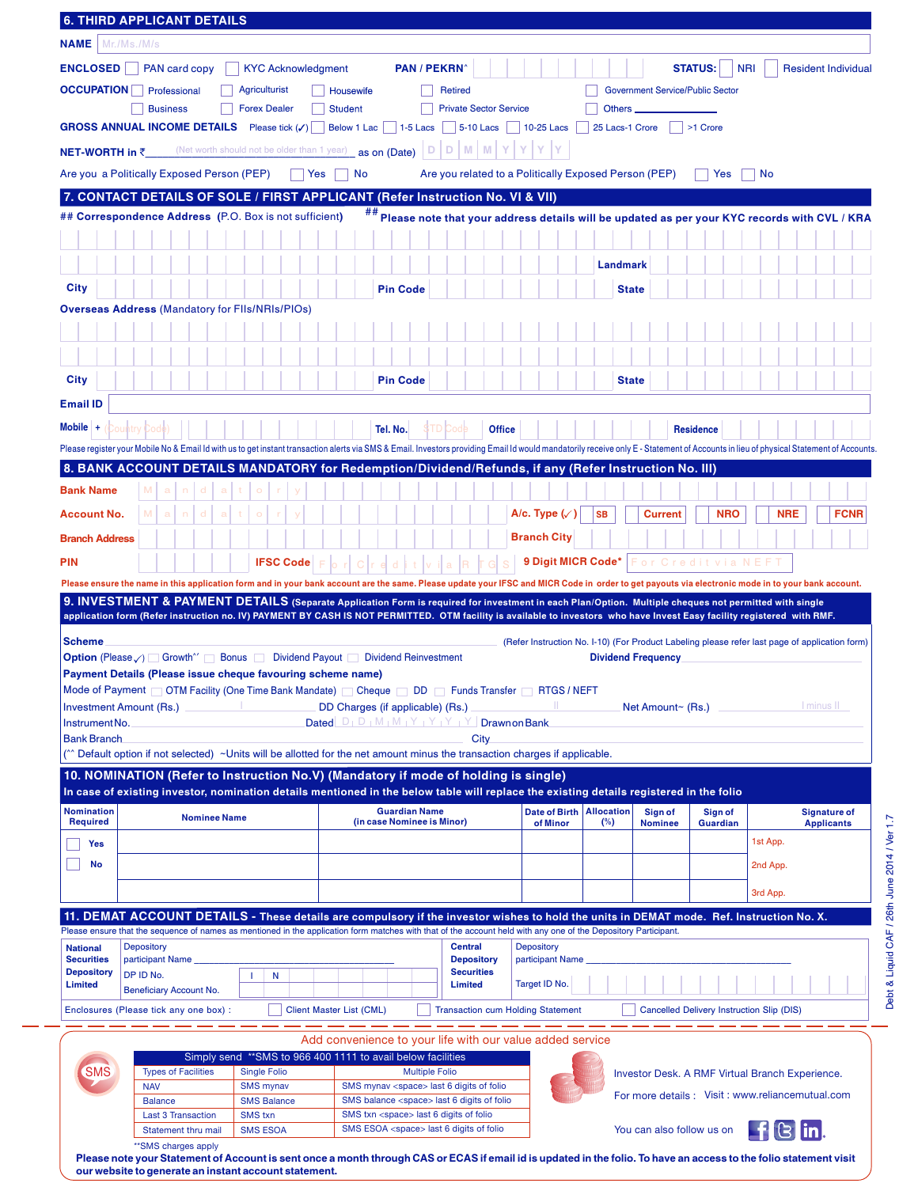|                                                                                                                                                                                                               | <b>6. THIRD APPLICANT DETAILS</b>                                                                                                                                                                                                                                                                                                                                                                                                                                                                                                     |                                                                                    |                                 |                                                           |                                                                                                         |                       |                               |                   |                                                       |                           |              |                                                                                                |                |            |            |          |            |                   |                            |
|---------------------------------------------------------------------------------------------------------------------------------------------------------------------------------------------------------------|---------------------------------------------------------------------------------------------------------------------------------------------------------------------------------------------------------------------------------------------------------------------------------------------------------------------------------------------------------------------------------------------------------------------------------------------------------------------------------------------------------------------------------------|------------------------------------------------------------------------------------|---------------------------------|-----------------------------------------------------------|---------------------------------------------------------------------------------------------------------|-----------------------|-------------------------------|-------------------|-------------------------------------------------------|---------------------------|--------------|------------------------------------------------------------------------------------------------|----------------|------------|------------|----------|------------|-------------------|----------------------------|
| <b>NAME</b>                                                                                                                                                                                                   | Mr./Ms./M/s                                                                                                                                                                                                                                                                                                                                                                                                                                                                                                                           |                                                                                    |                                 |                                                           |                                                                                                         |                       |                               |                   |                                                       |                           |              |                                                                                                |                |            |            |          |            |                   |                            |
| <b>ENCLOSED</b>                                                                                                                                                                                               | PAN card copy                                                                                                                                                                                                                                                                                                                                                                                                                                                                                                                         |                                                                                    | <b>KYC Acknowledgment</b>       |                                                           |                                                                                                         | <b>PAN / PEKRN</b>    |                               |                   |                                                       |                           |              |                                                                                                | <b>STATUS:</b> |            | <b>NRI</b> |          |            |                   | <b>Resident Individual</b> |
|                                                                                                                                                                                                               | <b>OCCUPATION</b> Professional                                                                                                                                                                                                                                                                                                                                                                                                                                                                                                        | Agriculturist                                                                      |                                 | Housewife                                                 |                                                                                                         |                       | <b>Retired</b>                |                   |                                                       |                           |              | <b>Government Service/Public Sector</b>                                                        |                |            |            |          |            |                   |                            |
|                                                                                                                                                                                                               | <b>Business</b>                                                                                                                                                                                                                                                                                                                                                                                                                                                                                                                       | <b>Forex Dealer</b>                                                                |                                 | <b>Student</b>                                            |                                                                                                         |                       | <b>Private Sector Service</b> |                   |                                                       | Others                    |              |                                                                                                |                |            |            |          |            |                   |                            |
|                                                                                                                                                                                                               | <b>GROSS ANNUAL INCOME DETAILS</b>                                                                                                                                                                                                                                                                                                                                                                                                                                                                                                    | Please tick $(\checkmark)$                                                         |                                 | Below 1 Lac                                               |                                                                                                         | 1-5 Lacs              |                               | <b>5-10 Lacs</b>  | 10-25 Lacs                                            | 25 Lacs-1 Crore           |              |                                                                                                | >1 Crore       |            |            |          |            |                   |                            |
| NET-WORTH in ₹                                                                                                                                                                                                | (Net worth should not be older than 1 year) as on (Date)                                                                                                                                                                                                                                                                                                                                                                                                                                                                              |                                                                                    |                                 |                                                           |                                                                                                         |                       | D D M M                       |                   |                                                       |                           |              |                                                                                                |                |            |            |          |            |                   |                            |
|                                                                                                                                                                                                               | Are you a Politically Exposed Person (PEP)                                                                                                                                                                                                                                                                                                                                                                                                                                                                                            |                                                                                    | Yes                             | No                                                        |                                                                                                         |                       |                               |                   | Are you related to a Politically Exposed Person (PEP) |                           |              |                                                                                                |                | Yes        |            | No       |            |                   |                            |
|                                                                                                                                                                                                               | 7. CONTACT DETAILS OF SOLE / FIRST APPLICANT (Refer Instruction No. VI & VII)                                                                                                                                                                                                                                                                                                                                                                                                                                                         |                                                                                    |                                 |                                                           |                                                                                                         |                       |                               |                   |                                                       |                           |              |                                                                                                |                |            |            |          |            |                   |                            |
|                                                                                                                                                                                                               | ## Correspondence Address (P.O. Box is not sufficient)                                                                                                                                                                                                                                                                                                                                                                                                                                                                                |                                                                                    |                                 |                                                           | $^{\# \#}$ Please note that your address details will be updated as per your KYC records with CVL / KRA |                       |                               |                   |                                                       |                           |              |                                                                                                |                |            |            |          |            |                   |                            |
|                                                                                                                                                                                                               |                                                                                                                                                                                                                                                                                                                                                                                                                                                                                                                                       |                                                                                    |                                 |                                                           |                                                                                                         |                       |                               |                   |                                                       |                           |              |                                                                                                |                |            |            |          |            |                   |                            |
|                                                                                                                                                                                                               |                                                                                                                                                                                                                                                                                                                                                                                                                                                                                                                                       |                                                                                    |                                 |                                                           |                                                                                                         |                       |                               |                   |                                                       |                           |              |                                                                                                |                |            |            |          |            |                   |                            |
|                                                                                                                                                                                                               |                                                                                                                                                                                                                                                                                                                                                                                                                                                                                                                                       |                                                                                    |                                 |                                                           |                                                                                                         |                       |                               |                   |                                                       |                           | Landmark     |                                                                                                |                |            |            |          |            |                   |                            |
| City                                                                                                                                                                                                          |                                                                                                                                                                                                                                                                                                                                                                                                                                                                                                                                       |                                                                                    |                                 |                                                           | <b>Pin Code</b>                                                                                         |                       |                               |                   |                                                       |                           | <b>State</b> |                                                                                                |                |            |            |          |            |                   |                            |
|                                                                                                                                                                                                               | <b>Overseas Address (Mandatory for FIIs/NRIs/PIOs)</b>                                                                                                                                                                                                                                                                                                                                                                                                                                                                                |                                                                                    |                                 |                                                           |                                                                                                         |                       |                               |                   |                                                       |                           |              |                                                                                                |                |            |            |          |            |                   |                            |
|                                                                                                                                                                                                               |                                                                                                                                                                                                                                                                                                                                                                                                                                                                                                                                       |                                                                                    |                                 |                                                           |                                                                                                         |                       |                               |                   |                                                       |                           |              |                                                                                                |                |            |            |          |            |                   |                            |
|                                                                                                                                                                                                               |                                                                                                                                                                                                                                                                                                                                                                                                                                                                                                                                       |                                                                                    |                                 |                                                           |                                                                                                         |                       |                               |                   |                                                       |                           |              |                                                                                                |                |            |            |          |            |                   |                            |
| City                                                                                                                                                                                                          |                                                                                                                                                                                                                                                                                                                                                                                                                                                                                                                                       |                                                                                    |                                 |                                                           | <b>Pin Code</b>                                                                                         |                       |                               |                   |                                                       |                           | <b>State</b> |                                                                                                |                |            |            |          |            |                   |                            |
| <b>Email ID</b>                                                                                                                                                                                               |                                                                                                                                                                                                                                                                                                                                                                                                                                                                                                                                       |                                                                                    |                                 |                                                           |                                                                                                         |                       |                               |                   |                                                       |                           |              |                                                                                                |                |            |            |          |            |                   |                            |
|                                                                                                                                                                                                               |                                                                                                                                                                                                                                                                                                                                                                                                                                                                                                                                       |                                                                                    |                                 |                                                           |                                                                                                         |                       |                               |                   |                                                       |                           |              |                                                                                                |                |            |            |          |            |                   |                            |
| $Mobile$ +                                                                                                                                                                                                    | Country Code                                                                                                                                                                                                                                                                                                                                                                                                                                                                                                                          |                                                                                    |                                 |                                                           | Tel. No.                                                                                                |                       | }ТD  Cod ∋                    | <b>Office</b>     |                                                       |                           |              |                                                                                                | Residence      |            |            |          |            |                   |                            |
|                                                                                                                                                                                                               | Please register your Mobile No & Email Id with us to get instant transaction alerts via SMS & Email. Investors providing Email Id would mandatorily receive only E - Statement of Accounts in lieu of physical Statement of Ac                                                                                                                                                                                                                                                                                                        |                                                                                    |                                 |                                                           |                                                                                                         |                       |                               |                   |                                                       |                           |              |                                                                                                |                |            |            |          |            |                   |                            |
|                                                                                                                                                                                                               | 8. BANK ACCOUNT DETAILS MANDATORY for Redemption/Dividend/Refunds, if any (Refer Instruction No. III)                                                                                                                                                                                                                                                                                                                                                                                                                                 |                                                                                    |                                 |                                                           |                                                                                                         |                       |                               |                   |                                                       |                           |              |                                                                                                |                |            |            |          |            |                   |                            |
| <b>Bank Name</b>                                                                                                                                                                                              |                                                                                                                                                                                                                                                                                                                                                                                                                                                                                                                                       |                                                                                    |                                 |                                                           |                                                                                                         |                       |                               |                   |                                                       |                           |              |                                                                                                |                |            |            |          |            |                   |                            |
| <b>Account No.</b>                                                                                                                                                                                            |                                                                                                                                                                                                                                                                                                                                                                                                                                                                                                                                       |                                                                                    |                                 |                                                           |                                                                                                         |                       |                               |                   | A/c. Type $(\sqrt{})$                                 | <b>SB</b>                 |              | <b>Current</b>                                                                                 |                | <b>NRO</b> |            |          | <b>NRE</b> |                   | <b>FCNR</b>                |
| <b>Branch Address</b>                                                                                                                                                                                         |                                                                                                                                                                                                                                                                                                                                                                                                                                                                                                                                       |                                                                                    |                                 |                                                           |                                                                                                         |                       |                               |                   |                                                       |                           |              |                                                                                                |                |            |            |          |            |                   |                            |
|                                                                                                                                                                                                               |                                                                                                                                                                                                                                                                                                                                                                                                                                                                                                                                       |                                                                                    |                                 |                                                           |                                                                                                         |                       |                               |                   | <b>Branch City</b>                                    |                           |              |                                                                                                |                |            |            |          |            |                   |                            |
|                                                                                                                                                                                                               | Please ensure the name in this application form and in your bank account are the same. Please update your IFSC and MICR Code in order to get payouts via electronic mode in to your bank account.<br>9. INVESTMENT & PAYMENT DETAILS (Separate Application Form is required for investment in each Plan/Option. Multiple cheques not permitted with single<br>application form (Refer instruction no. IV) PAYMENT BY CASH IS NOT PERMITTED. OTM facility is available to investors who have Invest Easy facility registered with RMF. | <b>IFSC Code</b>                                                                   |                                 |                                                           |                                                                                                         |                       |                               |                   | 9 Digit MICR Code*                                    |                           |              | For Credit via NEF                                                                             |                |            |            |          |            |                   |                            |
|                                                                                                                                                                                                               | <b>Option</b> (Please $\checkmark$ ) Growth <sup>**</sup> Bonus Dividend Payout Dividend Reinvestment                                                                                                                                                                                                                                                                                                                                                                                                                                 |                                                                                    |                                 |                                                           |                                                                                                         |                       |                               |                   |                                                       | <b>Dividend Frequency</b> |              | (Refer Instruction No. I-10) (For Product Labeling please refer last page of application form) |                |            |            |          |            |                   |                            |
|                                                                                                                                                                                                               | Payment Details (Please issue cheque favouring scheme name)<br>OTM Facility (One Time Bank Mandate) Cheque DD Funds Transfer RTGS / NEFT                                                                                                                                                                                                                                                                                                                                                                                              |                                                                                    |                                 |                                                           |                                                                                                         |                       |                               |                   |                                                       |                           |              |                                                                                                |                |            |            |          |            |                   |                            |
|                                                                                                                                                                                                               | <b>Investment Amount (Rs.)</b>                                                                                                                                                                                                                                                                                                                                                                                                                                                                                                        |                                                                                    |                                 | DD Charges (if applicable) (Rs.)                          |                                                                                                         |                       |                               |                   |                                                       |                           |              | Net Amount~ (Rs.)                                                                              |                |            |            |          |            | I minus II        |                            |
|                                                                                                                                                                                                               |                                                                                                                                                                                                                                                                                                                                                                                                                                                                                                                                       |                                                                                    |                                 |                                                           |                                                                                                         |                       |                               | Drawn on Bank     |                                                       |                           |              |                                                                                                |                |            |            |          |            |                   |                            |
|                                                                                                                                                                                                               | $($ <sup><math>\circ</math></sup> Default option if not selected) $\sim$ Units will be allotted for the net amount minus the transaction charges if applicable.                                                                                                                                                                                                                                                                                                                                                                       |                                                                                    |                                 |                                                           |                                                                                                         |                       |                               | City              |                                                       |                           |              |                                                                                                |                |            |            |          |            |                   |                            |
|                                                                                                                                                                                                               | 10. NOMINATION (Refer to Instruction No.V) (Mandatory if mode of holding is single)                                                                                                                                                                                                                                                                                                                                                                                                                                                   |                                                                                    |                                 |                                                           |                                                                                                         |                       |                               |                   |                                                       |                           |              |                                                                                                |                |            |            |          |            |                   |                            |
|                                                                                                                                                                                                               | In case of existing investor, nomination details mentioned in the below table will replace the existing details registered in the folio                                                                                                                                                                                                                                                                                                                                                                                               |                                                                                    |                                 |                                                           |                                                                                                         |                       |                               |                   |                                                       |                           |              |                                                                                                |                |            |            |          |            |                   |                            |
|                                                                                                                                                                                                               | <b>Nominee Name</b>                                                                                                                                                                                                                                                                                                                                                                                                                                                                                                                   |                                                                                    |                                 |                                                           | <b>Guardian Name</b>                                                                                    |                       |                               |                   | Date of Birth   Allocation                            |                           |              | Sign of                                                                                        |                | Sign of    |            |          |            |                   | <b>Signature of</b>        |
|                                                                                                                                                                                                               |                                                                                                                                                                                                                                                                                                                                                                                                                                                                                                                                       |                                                                                    |                                 |                                                           | (in case Nominee is Minor)                                                                              |                       |                               |                   | of Minor                                              | (%)                       |              | <b>Nominee</b>                                                                                 |                | Guardian   |            |          |            | <b>Applicants</b> |                            |
| Yes                                                                                                                                                                                                           |                                                                                                                                                                                                                                                                                                                                                                                                                                                                                                                                       |                                                                                    |                                 |                                                           |                                                                                                         |                       |                               |                   |                                                       |                           |              |                                                                                                |                |            |            | 1st App. |            |                   |                            |
| No                                                                                                                                                                                                            |                                                                                                                                                                                                                                                                                                                                                                                                                                                                                                                                       |                                                                                    |                                 |                                                           |                                                                                                         |                       |                               |                   |                                                       |                           |              |                                                                                                |                |            |            | 2nd App. |            |                   |                            |
|                                                                                                                                                                                                               |                                                                                                                                                                                                                                                                                                                                                                                                                                                                                                                                       |                                                                                    |                                 |                                                           |                                                                                                         |                       |                               |                   |                                                       |                           |              |                                                                                                |                |            |            | 3rd App. |            |                   |                            |
|                                                                                                                                                                                                               |                                                                                                                                                                                                                                                                                                                                                                                                                                                                                                                                       |                                                                                    |                                 |                                                           |                                                                                                         |                       |                               |                   |                                                       |                           |              |                                                                                                |                |            |            |          |            |                   |                            |
|                                                                                                                                                                                                               | 11. DEMAT ACCOUNT DETAILS - These details are compulsory if the investor wishes to hold the units in DEMAT mode. Ref. Instruction No. X.<br>Please ensure that the sequence of names as mentioned in the application form matches with that of the account held with any one of the Depository Participant.                                                                                                                                                                                                                           |                                                                                    |                                 |                                                           |                                                                                                         |                       |                               |                   |                                                       |                           |              |                                                                                                |                |            |            |          |            |                   |                            |
|                                                                                                                                                                                                               | <b>Depository</b>                                                                                                                                                                                                                                                                                                                                                                                                                                                                                                                     |                                                                                    |                                 |                                                           |                                                                                                         |                       | <b>Central</b>                |                   | <b>Depository</b>                                     |                           |              |                                                                                                |                |            |            |          |            |                   |                            |
|                                                                                                                                                                                                               | participant Name<br>DP ID No.                                                                                                                                                                                                                                                                                                                                                                                                                                                                                                         | N<br>т.                                                                            |                                 |                                                           |                                                                                                         |                       | <b>Securities</b>             | <b>Depository</b> | participant Name                                      |                           |              |                                                                                                |                |            |            |          |            |                   |                            |
|                                                                                                                                                                                                               | Beneficiary Account No.                                                                                                                                                                                                                                                                                                                                                                                                                                                                                                               |                                                                                    |                                 |                                                           |                                                                                                         |                       | Limited                       |                   | Target ID No.                                         |                           |              |                                                                                                |                |            |            |          |            |                   |                            |
|                                                                                                                                                                                                               | Enclosures (Please tick any one box) :                                                                                                                                                                                                                                                                                                                                                                                                                                                                                                |                                                                                    | <b>Client Master List (CML)</b> |                                                           |                                                                                                         |                       |                               |                   | <b>Transaction cum Holding Statement</b>              |                           |              | Cancelled Delivery Instruction Slip (DIS)                                                      |                |            |            |          |            |                   |                            |
|                                                                                                                                                                                                               |                                                                                                                                                                                                                                                                                                                                                                                                                                                                                                                                       |                                                                                    |                                 |                                                           |                                                                                                         |                       |                               |                   |                                                       |                           |              |                                                                                                |                |            |            |          |            |                   |                            |
|                                                                                                                                                                                                               |                                                                                                                                                                                                                                                                                                                                                                                                                                                                                                                                       |                                                                                    |                                 | Add convenience to your life with our value added service |                                                                                                         |                       |                               |                   |                                                       |                           |              |                                                                                                |                |            |            |          |            |                   |                            |
| SMS                                                                                                                                                                                                           | <b>Types of Facilities</b>                                                                                                                                                                                                                                                                                                                                                                                                                                                                                                            | Simply send **SMS to 966 400 1111 to avail below facilities<br><b>Single Folio</b> |                                 |                                                           |                                                                                                         | <b>Multiple Folio</b> |                               |                   |                                                       |                           |              | Investor Desk. A RMF Virtual Branch Experience.                                                |                |            |            |          |            |                   |                            |
|                                                                                                                                                                                                               | <b>NAV</b>                                                                                                                                                                                                                                                                                                                                                                                                                                                                                                                            | <b>SMS</b> mynav                                                                   |                                 |                                                           | SMS mynav <space> last 6 digits of folio</space>                                                        |                       |                               |                   |                                                       |                           |              | For more details : Visit : www.reliancemutual.com                                              |                |            |            |          |            |                   |                            |
| <b>PIN</b><br><b>Scheme</b><br>Mode of Payment<br>Instrument No.<br><b>Bank Branch</b><br><b>Nomination</b><br><b>Required</b><br><b>National</b><br><b>Securities</b><br><b>Depository</b><br><b>Limited</b> | <b>Balance</b>                                                                                                                                                                                                                                                                                                                                                                                                                                                                                                                        | <b>SMS Balance</b>                                                                 |                                 |                                                           | SMS balance <space> last 6 digits of folio<br/>SMS txn <space> last 6 digits of folio</space></space>   |                       |                               |                   |                                                       |                           |              |                                                                                                |                |            |            |          |            |                   |                            |
|                                                                                                                                                                                                               | Last 3 Transaction<br>Statement thru mail                                                                                                                                                                                                                                                                                                                                                                                                                                                                                             | <b>SMS</b> txn<br><b>SMS ESOA</b>                                                  |                                 |                                                           | SMS ESOA <space> last 6 digits of folio</space>                                                         |                       |                               |                   |                                                       |                           |              | You can also follow us on                                                                      |                |            |            |          |            |                   |                            |

Debt & Liquid CAF / 26th June 2014 / Ver 1.7 Debt & Liquid CAF / 26th June 2014 / Ver 1.7

**our website to generate an instant account statement.**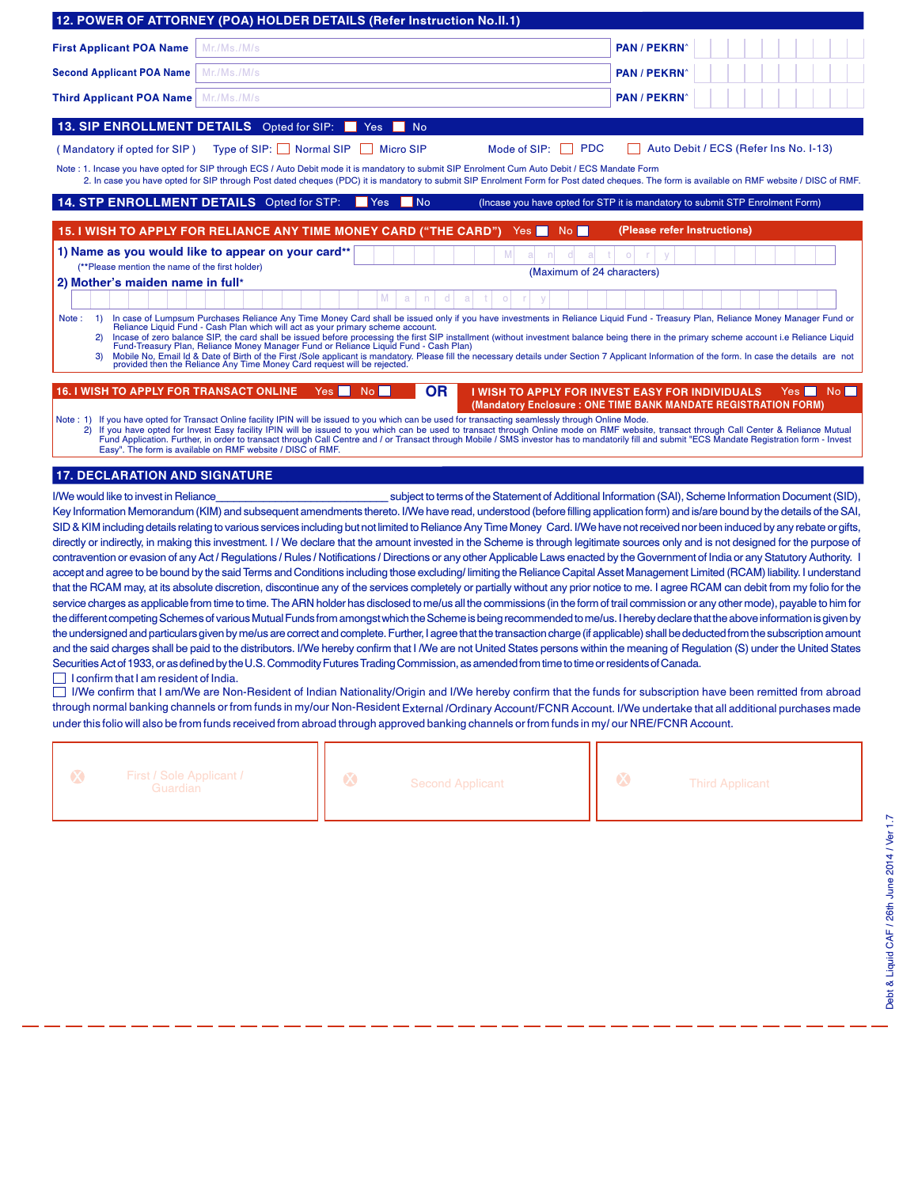|                                                                                     | 12. POWER OF ATTORNEY (POA) HOLDER DETAILS (Refer Instruction No.II.1)                                                                                                                                                                                                                                                                                                                                                                                                                                                                                                                                                                                                                                                                                                                                                                                                                                                                                                                                                                                                                                                                                                                                                                                                                                                                                                                                                                                                                                                                                                                                                                                |                         |                                                                                                                   |                             |                                       |     |                 |
|-------------------------------------------------------------------------------------|-------------------------------------------------------------------------------------------------------------------------------------------------------------------------------------------------------------------------------------------------------------------------------------------------------------------------------------------------------------------------------------------------------------------------------------------------------------------------------------------------------------------------------------------------------------------------------------------------------------------------------------------------------------------------------------------------------------------------------------------------------------------------------------------------------------------------------------------------------------------------------------------------------------------------------------------------------------------------------------------------------------------------------------------------------------------------------------------------------------------------------------------------------------------------------------------------------------------------------------------------------------------------------------------------------------------------------------------------------------------------------------------------------------------------------------------------------------------------------------------------------------------------------------------------------------------------------------------------------------------------------------------------------|-------------------------|-------------------------------------------------------------------------------------------------------------------|-----------------------------|---------------------------------------|-----|-----------------|
| <b>First Applicant POA Name</b>                                                     | Mr./Ms./M/s                                                                                                                                                                                                                                                                                                                                                                                                                                                                                                                                                                                                                                                                                                                                                                                                                                                                                                                                                                                                                                                                                                                                                                                                                                                                                                                                                                                                                                                                                                                                                                                                                                           |                         |                                                                                                                   | <b>PAN / PEKRN</b>          |                                       |     |                 |
| <b>Second Applicant POA Name</b>                                                    | Mr./Ms./M/s                                                                                                                                                                                                                                                                                                                                                                                                                                                                                                                                                                                                                                                                                                                                                                                                                                                                                                                                                                                                                                                                                                                                                                                                                                                                                                                                                                                                                                                                                                                                                                                                                                           |                         |                                                                                                                   | <b>PAN / PEKRN</b>          |                                       |     |                 |
| <b>Third Applicant POA Name</b>                                                     | Mr./Ms./M/s                                                                                                                                                                                                                                                                                                                                                                                                                                                                                                                                                                                                                                                                                                                                                                                                                                                                                                                                                                                                                                                                                                                                                                                                                                                                                                                                                                                                                                                                                                                                                                                                                                           |                         |                                                                                                                   | <b>PAN / PEKRN</b>          |                                       |     |                 |
|                                                                                     | 13. SIP ENROLLMENT DETAILS Opted for SIP:                                                                                                                                                                                                                                                                                                                                                                                                                                                                                                                                                                                                                                                                                                                                                                                                                                                                                                                                                                                                                                                                                                                                                                                                                                                                                                                                                                                                                                                                                                                                                                                                             | <b>Yes</b><br><b>No</b> |                                                                                                                   |                             |                                       |     |                 |
| (Mandatory if opted for SIP)                                                        | Type of SIP: □ Normal SIP □ Micro SIP                                                                                                                                                                                                                                                                                                                                                                                                                                                                                                                                                                                                                                                                                                                                                                                                                                                                                                                                                                                                                                                                                                                                                                                                                                                                                                                                                                                                                                                                                                                                                                                                                 |                         | <b>PDC</b><br>Mode of SIP:                                                                                        |                             | Auto Debit / ECS (Refer Ins No. I-13) |     |                 |
|                                                                                     | Note : 1. Incase you have opted for SIP through ECS / Auto Debit mode it is mandatory to submit SIP Enrolment Cum Auto Debit / ECS Mandate Form<br>2. In case you have opted for SIP through Post dated cheques (PDC) it is mandatory to submit SIP Enrolment Form for Post dated cheques. The form is available on RMF website / DISC of RMF.                                                                                                                                                                                                                                                                                                                                                                                                                                                                                                                                                                                                                                                                                                                                                                                                                                                                                                                                                                                                                                                                                                                                                                                                                                                                                                        |                         |                                                                                                                   |                             |                                       |     |                 |
|                                                                                     | 14. STP ENROLLMENT DETAILS Opted for STP:                                                                                                                                                                                                                                                                                                                                                                                                                                                                                                                                                                                                                                                                                                                                                                                                                                                                                                                                                                                                                                                                                                                                                                                                                                                                                                                                                                                                                                                                                                                                                                                                             | <b>No</b><br>l Yes      | (Incase you have opted for STP it is mandatory to submit STP Enrolment Form)                                      |                             |                                       |     |                 |
|                                                                                     | 15. I WISH TO APPLY FOR RELIANCE ANY TIME MONEY CARD ("THE CARD")                                                                                                                                                                                                                                                                                                                                                                                                                                                                                                                                                                                                                                                                                                                                                                                                                                                                                                                                                                                                                                                                                                                                                                                                                                                                                                                                                                                                                                                                                                                                                                                     |                         | $Yes \blacksquare$<br>No                                                                                          | (Please refer Instructions) |                                       |     |                 |
|                                                                                     | 1) Name as you would like to appear on your card**                                                                                                                                                                                                                                                                                                                                                                                                                                                                                                                                                                                                                                                                                                                                                                                                                                                                                                                                                                                                                                                                                                                                                                                                                                                                                                                                                                                                                                                                                                                                                                                                    |                         | M                                                                                                                 |                             |                                       |     |                 |
| (**Please mention the name of the first holder)<br>2) Mother's maiden name in full* |                                                                                                                                                                                                                                                                                                                                                                                                                                                                                                                                                                                                                                                                                                                                                                                                                                                                                                                                                                                                                                                                                                                                                                                                                                                                                                                                                                                                                                                                                                                                                                                                                                                       |                         | (Maximum of 24 characters)                                                                                        |                             |                                       |     |                 |
|                                                                                     |                                                                                                                                                                                                                                                                                                                                                                                                                                                                                                                                                                                                                                                                                                                                                                                                                                                                                                                                                                                                                                                                                                                                                                                                                                                                                                                                                                                                                                                                                                                                                                                                                                                       | d                       |                                                                                                                   |                             |                                       |     |                 |
| Note: $1)$<br>2)<br>3)                                                              | In case of Lumpsum Purchases Reliance Any Time Money Card shall be issued only if you have investments in Reliance Liquid Fund - Treasury Plan, Reliance Money Manager Fund or<br>Reliance Liquid Fund - Cash Plan which will act<br>Incase of zero balance SIP, the card shall be issued before processing the first SIP installment (without investment balance being there in the primary scheme account i.e Reliance Liquid<br>Fund-Treasury Plan, Reliance Money Manager Fund or Reliance Liquid Fund - Cash Plan)<br>Mobile No, Email Id & Date of Birth of the First /Sole applicant is mandatory. Please fill the necessary details under Section 7 Applicant Information of the form. In case the details are not<br>provided then the Reliance Any Time Money Card request will be rejected.                                                                                                                                                                                                                                                                                                                                                                                                                                                                                                                                                                                                                                                                                                                                                                                                                                                |                         |                                                                                                                   |                             |                                       |     |                 |
| <b>16. I WISH TO APPLY FOR TRANSACT ONLINE</b>                                      | Yes                                                                                                                                                                                                                                                                                                                                                                                                                                                                                                                                                                                                                                                                                                                                                                                                                                                                                                                                                                                                                                                                                                                                                                                                                                                                                                                                                                                                                                                                                                                                                                                                                                                   | <b>OR</b><br>No.        | I WISH TO APPLY FOR INVEST EASY FOR INDIVIDUALS<br>(Mandatory Enclosure: ONE TIME BANK MANDATE REGISTRATION FORM) |                             |                                       | Yes | No <sub>1</sub> |
| 2)                                                                                  | Note: 1) If you have opted for Transact Online facility IPIN will be issued to you which can be used for transacting seamlessly through Online Mode.<br>If you have opted for Invest Easy facility IPIN will be issued to you which can be used to transact through Online mode on RMF website, transact through Call Center & Reliance Mutual<br>Fund Application. Further, in order to transact through Call Centre and / or Transact through Mobile / SMS investor has to mandatorily fill and submit "ECS Mandate Registration form - Invest<br>Easy". The form is available on RMF website / DISC of RMF.                                                                                                                                                                                                                                                                                                                                                                                                                                                                                                                                                                                                                                                                                                                                                                                                                                                                                                                                                                                                                                        |                         |                                                                                                                   |                             |                                       |     |                 |
| <b>17. DECLARATION AND SIGNATURE</b>                                                |                                                                                                                                                                                                                                                                                                                                                                                                                                                                                                                                                                                                                                                                                                                                                                                                                                                                                                                                                                                                                                                                                                                                                                                                                                                                                                                                                                                                                                                                                                                                                                                                                                                       |                         |                                                                                                                   |                             |                                       |     |                 |
| I/We would like to invest in Reliance                                               | Key Information Memorandum (KIM) and subsequent amendments thereto. I/We have read, understood (before filling application form) and is/are bound by the details of the SAI,                                                                                                                                                                                                                                                                                                                                                                                                                                                                                                                                                                                                                                                                                                                                                                                                                                                                                                                                                                                                                                                                                                                                                                                                                                                                                                                                                                                                                                                                          |                         | subject to terms of the Statement of Additional Information (SAI), Scheme Information Document (SID),             |                             |                                       |     |                 |
|                                                                                     | SID & KIM including details relating to various services including but not limited to Reliance Any Time Money Card. I/We have not received nor been induced by any rebate or gifts,                                                                                                                                                                                                                                                                                                                                                                                                                                                                                                                                                                                                                                                                                                                                                                                                                                                                                                                                                                                                                                                                                                                                                                                                                                                                                                                                                                                                                                                                   |                         |                                                                                                                   |                             |                                       |     |                 |
| $\Box$ I confirm that I am resident of India.                                       | directly or indirectly, in making this investment. I / We declare that the amount invested in the Scheme is through legitimate sources only and is not designed for the purpose of<br>contravention or evasion of any Act / Regulations / Rules / Notifications / Directions or any other Applicable Laws enacted by the Government of India or any Statutory Authority. I<br>accept and agree to be bound by the said Terms and Conditions including those excluding/limiting the Reliance Capital Asset Management Limited (RCAM) liability. I understand<br>that the RCAM may, at its absolute discretion, discontinue any of the services completely or partially without any prior notice to me. I agree RCAM can debit from my folio for the<br>service charges as applicable from time to time. The ARN holder has disclosed to me/us all the commissions (in the form of trail commission or any other mode), payable to him for<br>the different competing Schemes of various Mutual Funds from amongst which the Scheme is being recommended to me/us. I hereby declare that the above information is given by<br>the undersigned and particulars given by me/us are correct and complete. Further, I agree that the transaction charge (if applicable) shall be deducted from the subscription amount<br>and the said charges shall be paid to the distributors. I/We hereby confirm that I /We are not United States persons within the meaning of Regulation (S) under the United States<br>Securities Act of 1933, or as defined by the U.S. Commodity Futures Trading Commission, as amended from time to time or residents of Canada. |                         |                                                                                                                   |                             |                                       |     |                 |
|                                                                                     | I/We confirm that I am/We are Non-Resident of Indian Nationality/Origin and I/We hereby confirm that the funds for subscription have been remitted from abroad<br>through normal banking channels or from funds in my/our Non-Resident External /Ordinary Account/FCNR Account. I/We undertake that all additional purchases made                                                                                                                                                                                                                                                                                                                                                                                                                                                                                                                                                                                                                                                                                                                                                                                                                                                                                                                                                                                                                                                                                                                                                                                                                                                                                                                     |                         |                                                                                                                   |                             |                                       |     |                 |

under this folio will also be from funds received from abroad through approved banking channels or from funds in my/ our NRE/FCNR Account.

| $\infty$<br>First / Sole Applicant /<br>Guardian | œ | <b>Second Applicant</b> |  | $\infty$ | <b>Third Applicant</b> |  |
|--------------------------------------------------|---|-------------------------|--|----------|------------------------|--|
|--------------------------------------------------|---|-------------------------|--|----------|------------------------|--|